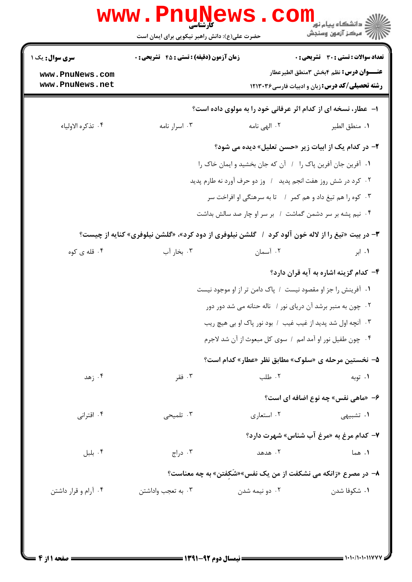|                                    | حضرت علی(ع): دانش راهبر نیکویی برای ایمان است                                                    |                                                                | ڪ دانشڪاه پيا <sub>م</sub> نور<br>۾ سرڪز آزمون وسنجش                                                    |  |
|------------------------------------|--------------------------------------------------------------------------------------------------|----------------------------------------------------------------|---------------------------------------------------------------------------------------------------------|--|
| <b>سری سوال :</b> یک ۱             | <b>زمان آزمون (دقیقه) : تستی : 45 تشریحی : 0</b>                                                 |                                                                | <b>تعداد سوالات : تستی : 30 ٪ تشریحی : 0</b>                                                            |  |
| www.PnuNews.com<br>www.PnuNews.net |                                                                                                  |                                                                | <b>عنـــوان درس:</b> نظم ۴بخش ۳منطق الطيرعطار<br><b>رشته تحصیلی/کد درس:</b> زبان و ادبیات فارسی ۱۲۱۳۰۳۶ |  |
|                                    |                                                                                                  | ۱- عطار، نسخه ای از کدام اثر عرفانی خود را به مولوی داده است؟  |                                                                                                         |  |
| ۰۴ تذكره الاولياء                  | ۰۳ اسرار نامه                                                                                    | ۰۲ الهی نامه                                                   | ٠١. منطق الطير                                                                                          |  |
|                                    | ۲- در کدام یک از ابیات زیر «حسن تعلیل» دیده می شود؟                                              |                                                                |                                                                                                         |  |
|                                    |                                                                                                  | ١. آفرين جان آفرين پاک را ١ آن که جان بخشيد و ايمان خاک را     |                                                                                                         |  |
|                                    | ۰۲ کرد در شش روز هفت انجم پدید ۱ وز دو حرف آورد نه طارم پدید                                     |                                                                |                                                                                                         |  |
|                                    | ۰۳ کوه را هم تیغ داد و هم کمر ۱ تا به سرهنگی او افراخت سر                                        |                                                                |                                                                                                         |  |
|                                    |                                                                                                  | ۰۴ نیم پشه بر سر دشمن گماشت ۱ بر سر او چار صد سالش بداشت       |                                                                                                         |  |
|                                    | ۳- در بیت «تیغ را از لاله خون آلود کرد ۱ گلشن نیلوفری از دود کرد»، «گلشن نیلوفری» کنایه از چیست؟ |                                                                |                                                                                                         |  |
| ۰۴ قله ی کوه                       | ۰۳ بخار آب                                                                                       | ۰۲ آسمان                                                       | ۰۱ ابر                                                                                                  |  |
|                                    |                                                                                                  |                                                                | ۴- کدام گزینه اشاره به آیه قران دارد؟                                                                   |  |
|                                    |                                                                                                  | ۰۱ آفرینش را جز او مقصود نیست ۱ پاک دامن تر از او موجود نیست   |                                                                                                         |  |
|                                    |                                                                                                  | ۰۲ چون به منبر برشد آن دریای نور / ناله حنانه می شد دور دور    |                                                                                                         |  |
|                                    | ۰۳ آنچه اول شد پدید از غیب غیب / بود نور پاک او بی هیچ ریب                                       |                                                                |                                                                                                         |  |
|                                    | ۰۴ چون طفيل نور او آمد امم / سوى كل مبعوث از آن شد لاجرم                                         |                                                                |                                                                                                         |  |
|                                    |                                                                                                  | ۵– نخستین مرحله ی «سلوک» مطابق نظر «عطار» کدام است؟            |                                                                                                         |  |
| ۰۴ زهد                             | ۰۳ فقر                                                                                           | ۰۲ طلب                                                         | ۰۱ توبه                                                                                                 |  |
|                                    |                                                                                                  |                                                                | ۶- «ماهي نفس» چه نوع اضافه اي است؟                                                                      |  |
| ۰۴ اقترانی                         | ۰۳ تلمیحی                                                                                        | ۰۲ استعاری                                                     | ۰۱ تشبیهی                                                                                               |  |
|                                    |                                                                                                  |                                                                | ۷- کدام مرغ به «مرغ آب شناس» شهرت دارد؟                                                                 |  |
| ۰۴ بلبل                            | ۰۳ دراج                                                                                          | ۰۲ هدهد                                                        | ۰۱ هما                                                                                                  |  |
|                                    |                                                                                                  | ۸- در مصرع «زانکه می نشکفت از من یک نفس»«شَکفتن» به چه معناست؟ |                                                                                                         |  |
| ۰۴ آرام و قرار داشتن               | ۰۳ به تعجب واداشتن                                                                               | ۰۲ دو نیمه شدن                                                 | ٠١ شكوفا شدن                                                                                            |  |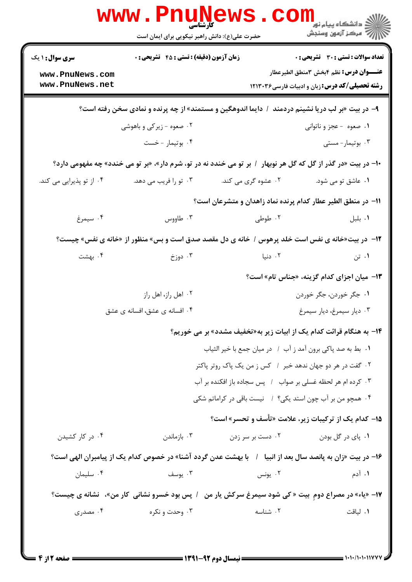| <b>سری سوال : ۱ یک</b>   | زمان آزمون (دقیقه) : تستی : 45 آتشریحی : 0                                                                   |                                                                     | <b>تعداد سوالات : تستی : 30 ٪ تشریحی : 0</b>           |
|--------------------------|--------------------------------------------------------------------------------------------------------------|---------------------------------------------------------------------|--------------------------------------------------------|
| www.PnuNews.com          |                                                                                                              |                                                                     | <b>عنــــوان درس:</b> نظم ۴بخش ۳منطق الطيرعطار         |
| www.PnuNews.net          |                                                                                                              |                                                                     | <b>رشته تحصیلی/کد درس:</b> زبان و ادبیات فارسی ۱۲۱۳۰۳۶ |
|                          | ۹- در بیت «بر لب دریا نشینم دردمند ۱ دایما اندوهگین و مستمند» از چه پرنده و نمادی سخن رفته است؟              |                                                                     |                                                        |
|                          | ۰۲ صعوه - زیرکی و باهوشی                                                                                     |                                                                     | ۰۱ صعوه - عجز و ناتوانی                                |
|                          | ۰۴ بوتيمار - خست                                                                                             |                                                                     | ۰۳ بوتیمار-مستی                                        |
|                          | +۱- در بیت «در گذر از گل که گل هر نوبهار ۱ بر تو می خندد نه در تو، شرم دار»، «بر تو می خندد» چه مفهومی دارد؟ |                                                                     |                                                        |
| ۰۴ از تو پذیرایی می کند. | ۰۳ تو را فریب می دهد.                                                                                        | ۰۲ عشوه گری می کند.                                                 | ۰۱ عاشق تو می شود.                                     |
|                          |                                                                                                              | 1۱– در منطق الطیر عطار کدام پرنده نماد زاهدان و متشرعان است؟        |                                                        |
| ۰۴ سیمرغ                 | ۰۳ طاووس                                                                                                     | ۰۲ طوطی                                                             | ۰۱ بلبل                                                |
|                          | 12-  در بیت«خانه ی نفس است خلد پرهوس / خانه ی دل مقصد صدق است و بس» منظور از «خانه ی نفس» چیست؟              |                                                                     |                                                        |
| ۴ . بهشت                 | ۰۳ دوزخ                                                                                                      | ۰۲ دنیا                                                             | ۰۱ تن                                                  |
|                          |                                                                                                              |                                                                     | ۱۳- میان اجزای کدام گزینه، «جناس تام» است؟             |
|                          | ۰۲ اهل راز، اهل راز                                                                                          |                                                                     | ۰۱ جگر خوردن، جگر خوردن                                |
|                          | ۰۴ افسانه ی عشق، افسانه ی عشق                                                                                |                                                                     | ۰۳ ديار سيمرغ، ديار سيمرغ                              |
|                          |                                                                                                              | ۱۴- به هنگام قرائت کدام یک از ابیات زیر به«تخفیف مشدد» بر می خوریم؟ |                                                        |
|                          |                                                                                                              | ٠١. بط به صد پاكي برون آمد ز آب ١. در ميان جمع با خير الثياب        |                                                        |
|                          |                                                                                                              | ۰۲ گفت در هر دو جهان ندهد خبر ۱ کس ز من یک پاک روتر پاکتر           |                                                        |
|                          |                                                                                                              | ۰۳ کرده ام هر لحظه غسلی بر صواب ۱ پس سجاده باز افکنده بر آب         |                                                        |
|                          |                                                                                                              | ۰۴ همچو من بر آب چون استد یکی؟ / نیست باقی در کراماتم شکی           |                                                        |
|                          |                                                                                                              | 15- کدام یک از ترکیبات زیر، علامت «تأسف و تحسر» است؟                |                                                        |
| ۰۴ در کار کشیدن          | ۰۳ بازماندن                                                                                                  | ۰۲ دست بر سر زدن                                                    | ۰۱ پای در گل بودن                                      |
|                          | ۱۶– در بیت «زان به پانصد سال بعد از انبیا ۱ با بهشت عدن گردد آشنا» در خصوص کدام یک از پیامبران الهی است؟     |                                                                     |                                                        |
| ۰۴ سلیمان                | ۰۳ يوسف                                                                                                      | ۰۲ يونس                                                             | ۰۱ آدم                                                 |
|                          | ۱۷- «یاء» در مصراع دومِ بیت « کی شود سیمرغ سرکش یار من۔ / پس بود خسرو نشانی کار من»،  نشانه ی چیست؟          |                                                                     |                                                        |
| ۰۴ مصدری                 | ۰۳ وحدت و نکره                                                                                               | ۰۲ شناسه                                                            | ٠١. لياقت                                              |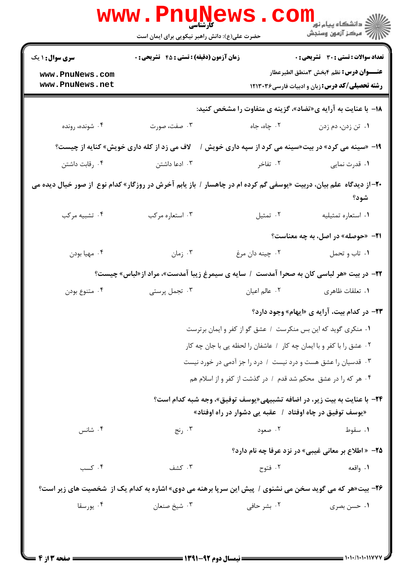|                                                              | <b>www.Pnu</b><br>کارشناسی<br>حضرت علی(ع): دانش راهبر نیکویی برای ایمان است                                        |                                                               | ران دانشگاه پيام نور <mark>− ا</mark><br>ا <b>ر</b> درکز آزمون وسنجش                                                                            |
|--------------------------------------------------------------|--------------------------------------------------------------------------------------------------------------------|---------------------------------------------------------------|-------------------------------------------------------------------------------------------------------------------------------------------------|
| <b>سری سوال : ۱ یک</b><br>www.PnuNews.com<br>www.PnuNews.net | <b>زمان آزمون (دقیقه) : تستی : 45 تشریحی : 0</b>                                                                   |                                                               | تعداد سوالات : تستي : 30 ٪ تشريحي : 0<br><b>عنــــوان درس:</b> نظم ۴بخش ۳منطق الطيرعطار<br><b>رشته تحصیلی/کد درس:</b> زبان و ادبیات فارسی۲۱۳۰۳۶ |
|                                                              |                                                                                                                    |                                                               | ۱۸− با عنایت به آرایه ی«تضاد»، گزینه ی متفاوت را مشخص کنید:                                                                                     |
| ۰۴ شونده، رونده                                              | ۰۳ صفت، صورت                                                                                                       | ۰۲ چاه، جاه                                                   | ۰۱ تن زدن، دم زدن                                                                                                                               |
| لاف می زد از کله داری خویش» کنایه از چیست؟                   |                                                                                                                    |                                                               | ۱۹- «سینه می کرد» در بیت«سینه می کرد از سپه داری خویش /                                                                                         |
| ۰۴ رقابت داشتن                                               | ۰۳ ادعا داشتن                                                                                                      | ۰۲ تفاخر                                                      | ۰۱ قدرت نمایی                                                                                                                                   |
|                                                              | ۲۰– از دیدگاه علم بیان، دربیت «یوسفی گم کرده ام در چاهسار / باز یابم آخرش در روزگار» کدام نوع  از صور خیال دیده می |                                                               | شود؟                                                                                                                                            |
| ۰۴ تشبیه مرکب                                                | ۰۳ استعاره مرکب                                                                                                    | ۰۲ تمثیل                                                      | ٠١ استعاره تمثيليه                                                                                                                              |
|                                                              |                                                                                                                    |                                                               | <b>۲۱</b> - «حوصله» در اصل، به چه معناست؟                                                                                                       |
| ۰۴ مهيا بودن                                                 | ۰۳ زمان                                                                                                            | ۰۲ چينه دان مرغ                                               | ۰۱ تاب و تحمل                                                                                                                                   |
|                                                              | <b>۲۲</b> - در بیت «هر لباسی کان به صحرا آمدست ۱ سایه ی سیمرغ زیبا آمدست»، مراد از«لباس» چیست؟                     |                                                               |                                                                                                                                                 |
| ۰۴ متنوع بودن                                                | ۰۳ تجمل پرستی                                                                                                      | ۰۲ عالم اعیان                                                 | ٠١ تعلقات ظاهري                                                                                                                                 |
|                                                              |                                                                                                                    |                                                               | <b>۲۳</b> - در کدام بیت، آرایه ی «ایهام» وجود دارد؟                                                                                             |
|                                                              |                                                                                                                    | ٠. منكري گويد كه اين بس منكرست ١ عشق گو از كفر و ايمان برترست |                                                                                                                                                 |
|                                                              |                                                                                                                    |                                                               | ۰۲ عشق را با کفر و با ایمان چه کار ۱ عاشفان را لحظه یی با جان چه کار                                                                            |
|                                                              |                                                                                                                    |                                                               | ۰۳ قدسیان را عشق هست و درد نیست / درد را جز آدمی در خورد نیست                                                                                   |
|                                                              |                                                                                                                    |                                                               | ۰۴ هر که را در عشق محکم شد قدم / در گذشت از کفر و از اسلام هم                                                                                   |
|                                                              |                                                                                                                    | «یوسف توفیق در چاه اوفتاد ۱٪ عقبه یی دشوار در راه اوفتاد»     | <b>34</b> – با عنایت به بیت زیر، در اضافه تشبیهی«یوسف توفیق»، وجه شبه کدام است؟                                                                 |
| ۰۴ شانس                                                      | ۰۳ رنج                                                                                                             | ۰۲ صعود                                                       | ۰۱ سقوط                                                                                                                                         |
|                                                              |                                                                                                                    |                                                               | <b>۲۵</b> - «اطلاع بر معانی غیبی» در نزد عرفا چه نام دارد؟                                                                                      |
| ۰۴ کسب                                                       | ۰۳ کشف                                                                                                             | ۰۲ فتوح                                                       | ۱. واقعه                                                                                                                                        |
|                                                              | <b>۲۶</b> - بیت«هر که می گوید سخن می نشنوی / پیش این سرپا برهنه می دوی» اشاره به کدام یک از  شخصیت های زیر است؟    |                                                               |                                                                                                                                                 |
| ۰۴ يورسقا                                                    | ۰۳ شیخ صنعان                                                                                                       | ۰۲ بشر حافی                                                   | ۰۱ حسن بصری                                                                                                                                     |
|                                                              |                                                                                                                    |                                                               |                                                                                                                                                 |